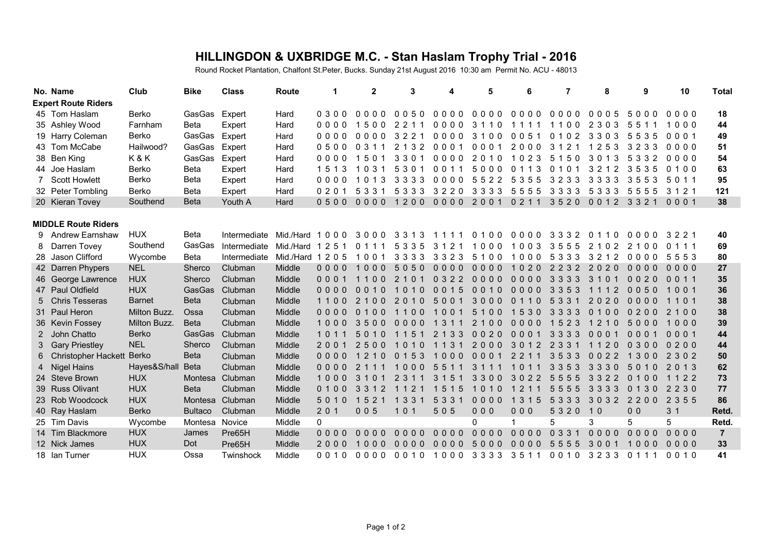## **HILLINGDON & UXBRIDGE M.C. - Stan Haslam Trophy Trial - 2016**

Round Rocket Plantation, Chalfont St.Peter, Bucks. Sunday 21st August 2016 10:30 am Permit No. ACU - 48013

|                            | No. Name              | Club          | <b>Bike</b>    | <b>Class</b>    | Route             | 1         | $\mathbf{2}$                     | 3                                           | 4                                | 5                   | 6                            | 7                                | 8                                   | 9              | 10             | <b>Total</b>   |
|----------------------------|-----------------------|---------------|----------------|-----------------|-------------------|-----------|----------------------------------|---------------------------------------------|----------------------------------|---------------------|------------------------------|----------------------------------|-------------------------------------|----------------|----------------|----------------|
| <b>Expert Route Riders</b> |                       |               |                |                 |                   |           |                                  |                                             |                                  |                     |                              |                                  |                                     |                |                |                |
|                            | 45 Tom Haslam         | Berko         | GasGas Expert  |                 | Hard              | $0300$    | 0000                             | 0050                                        |                                  | 0000 0000 0000 0000 |                              |                                  | 0005                                | 5000           | 0000           | 18             |
|                            | 35 Ashley Wood        | Farnham       | Beta           | Expert          | Hard              | 0000      | 1500                             | 2 2 1 1                                     | 0000                             | 3 1 1 0             | 1111                         | 1100                             | 2 3 0 3                             | 551            | 1000           | 44             |
|                            | 19 Harry Coleman      | Berko         | GasGas         | Expert          | Hard              | $0000$    | 0000                             | 3221                                        | $0000$                           | 3100                | 0 0 5 1                      | 0 1 0 2                          | 3303                                | 5535           | 0001           | 49             |
|                            | 43 Tom McCabe         | Hailwood?     | GasGas         | Expert          | Hard              | 0500      | 0 3 1 1                          | 2 1 3 2                                     | 0001                             | 0001                | 2000                         | 3 1 2                            | 253                                 | 3233           | 0000           | 51             |
|                            | 38 Ben King           | K&K           | GasGas         | Expert          | Hard              | 0000      | 1501                             | 3301                                        | $0000$                           | 2010                | 1023                         | 5 1 5 0                          | -3<br>30                            | 5<br>332       | 0000           | 54             |
|                            | 44 Joe Haslam         | Berko         | Beta           | Expert          | Hard              | -3<br>151 | 0,3,1<br>$\mathbf 1$             | 5<br>3 0 1                                  | 0 0 1 1                          | 5000                | 3<br>$\Omega$<br>11          | $\Omega$<br>1 O                  | $\mathcal{P}$<br>$\mathcal{L}$<br>3 | .5<br>3<br>53  | 0100           | 63             |
|                            | <b>Scott Howlett</b>  | Berko         | <b>Beta</b>    | Expert          | Hard              | 0000      | 0 1 3                            | 3 3 3 3                                     | $0000$                           | 5<br>522            | 5 3 5 5                      | 3233                             | 3 3 3 3                             | 355            | 5 0 1 1        | 95             |
|                            | 32 Peter Tombling     | Berko         | <b>Beta</b>    | Expert          | Hard              | 020       | 5 3 3 1                          | 5 3 3 3                                     | 3220                             | 3 3 3 3             | 5555                         | 3333                             | 5 3 3 3                             | 5555           | 3 1 2 1        | 121            |
|                            | 20 Kieran Tovey       | Southend      | <b>Beta</b>    | Youth A         | Hard              | 0500      | $0000$                           | 1200                                        |                                  | 0000 2001           | 0 2 1 1                      | 3520                             | 0012                                | 3321           | 0001           | 38             |
|                            |                       |               |                |                 |                   |           |                                  |                                             |                                  |                     |                              |                                  |                                     |                |                |                |
| <b>MIDDLE Route Riders</b> |                       |               |                |                 |                   |           |                                  |                                             |                                  |                     |                              |                                  |                                     |                |                |                |
|                            | 9 Andrew Earnshaw     | <b>HUX</b>    | Beta           | Intermediate    | Mid./Hard 1000    |           | 3000                             | 3313                                        | 1111                             | 01000000            |                              | 3332                             | 0110                                | 0000           | 3221           | 40             |
| 8                          | Darren Tovey          | Southend      | GasGas         | Intermediate    | Mid./Hard         | 251<br>-1 | 0 1 1 1                          | 5 3 3 5                                     | 3 1 2 1                          | 1000                | 1003                         | 3555                             | 2 1 0 2                             | 2100           | 0 1 1 1        | 69             |
|                            | 28 Jason Clifford     | Wycombe       | Beta           | Intermediate    | Mid./Hard 1 2 0 5 |           | 1001                             | 3 3 3 3                                     | 3 3 2 3                          | 5100                | 1000                         | 5 3 3 3                          | 12<br>3 2                           | 0000           | 5553           | 80             |
|                            | 42 Darren Phypers     | <b>NEL</b>    | Sherco         | Clubman         | Middle            | $0000$    | 1000                             | 5050                                        | 0000                             | $0000$              | 1020                         | 2232                             | 2020                                | 0000           | $0000$         | 27             |
|                            | 46 George Lawrence    | <b>HUX</b>    | Sherco         | Clubman         | Middle            | 0001      | 1100                             | 2 <sub>1</sub><br>0 <sub>1</sub>            | 0322                             | $0000$              | $0000$                       | 3 3 3 3                          | 3 1                                 | 0020           | 0011           | 35             |
|                            | 47 Paul Oldfield      | <b>HUX</b>    | GasGas         | Clubman         | Middle            | 0000      | 0010                             | 0 <sub>1</sub><br>$\overline{0}$            | 0 0 1 5                          | 0010                | $0000$                       | 3 3 5 3                          | -2<br>1 1                           | 0050           | 1001           | 36             |
|                            | 5 Chris Tesseras      | <b>Barnet</b> | <b>Beta</b>    | Clubman         | Middle            | 1100      | 21<br>0 <sub>0</sub>             | $\mathcal{P}$<br>$\Omega$<br>0 <sub>1</sub> | 5001                             | 3000                | $\Omega$<br>$\bullet$<br>1 1 | 3 <sub>3</sub><br>$\overline{5}$ | 2020                                | 0000           | 1101           | 38             |
|                            | 31 Paul Heron         | Milton Buzz.  | Ossa           | Clubman         | Middle            | $0000$    | 0 <sub>1</sub><br>0 <sub>0</sub> | 0 <sub>0</sub>                              | 1001                             | 5<br>100            | 1530                         | 3 3 3 3                          | 0 <sub>0</sub>                      | 0200           | 2100           | 38             |
|                            | 36 Kevin Fossey       | Milton Buzz.  | <b>Beta</b>    | Clubman         | Middle            | 1000      | 3500                             | $0000$                                      | 1 3 1 1                          | 2100                | 0000                         | 1523                             | 1 2 1 0                             | 5000           | 1000           | 39             |
|                            | 2 John Chatto         | <b>Berko</b>  | <b>GasGas</b>  | Clubman         | Middle            | 1 0 1     | 5010                             | 1 1 5 1                                     | 2 1 3 3                          | 0020                | 0001                         | 3 3 3 3                          | 0001                                | 0001           | 0001           | 44             |
|                            | 3 Gary Priestley      | <b>NEL</b>    | Sherco         | Clubman         | Middle            | 2001      | 2500                             | 101<br>0                                    | 3<br>1 1                         | 2000                | 3012                         | 2 3 3 1                          | 1 1 2 0                             | 0300           | 0200           | 44             |
|                            | 6 Christopher Hackett | <b>Berko</b>  | <b>Beta</b>    | Clubman         | Middle            | 0000      | 2 1 0                            | 0 1 5 3                                     | 1000                             | 0001                | 2 2 1 1                      | 3533                             | 0022                                | 1300           | 2 3 0 2        | 50             |
|                            | 4 Nigel Hains         | Hayes&S/hal   | <b>Beta</b>    | Clubman         | Middle            | $0000$    | 2                                | 1000                                        | 5 <sub>5</sub><br>1 1            | 3 1 1 1             | 1 O<br>1 1                   | 3 3 5<br>3                       | 3 3 3 0                             | 5<br>010       | 2 0 1 3        | 62             |
|                            | 24 Steve Brown        | <b>HUX</b>    |                | Montesa Clubman | Middle            | 1000      | 3 <sub>1</sub><br>$\Omega$       | 3<br>2                                      | 3 <sub>1</sub><br>5 <sub>1</sub> | 3300                | 3022                         | 5 <sub>5</sub><br>5<br>5         | 3 <sub>3</sub><br>2 <sub>2</sub>    | 0100           | 1 1 2 2        | 73             |
|                            | 39 Russ Olivant       | <b>HUX</b>    | <b>Beta</b>    | Clubman         | Middle            | 0100      | 3 3 1 2                          | 1 1 2 1                                     | 1515                             | 1010                | 1211                         | 5555                             | 3 3 3 3                             | 0130           | 2230           | 77             |
|                            | 23 Rob Woodcock       | <b>HUX</b>    | Montesa        | Clubman         | Middle            | 5 0 1 0   | 1 5 2 1                          | 1 3 3 1                                     | 5 3 3 1                          | $0000$              | 1 3 1 5                      | 5 3 3 3                          | 3032                                | 2200           | 2 3 5 5        | 86             |
|                            | 40 Ray Haslam         | Berko         | <b>Bultaco</b> | Clubman         | Middle            | 201       | 005                              | 101                                         | 505                              | 000                 | 000                          | 5320                             | 10                                  | 0 <sub>0</sub> | 3 <sub>1</sub> | Retd.          |
|                            | 25 Tim Davis          | Wycombe       | Montesa        | Novice          | Middle            | $\Omega$  |                                  |                                             |                                  | 0                   | 1                            | 5                                | 3                                   | 5              | 5              | Retd.          |
|                            | 14 Tim Blackmore      | <b>HUX</b>    | James          | Pre65H          | Middle            | 0000      | 0000                             | 0000                                        | $0000$                           | 0000                | 0000                         | 0, 3, 3, 1                       | 0000                                | 0000           | $0000$         | $\overline{7}$ |
|                            | 12 Nick James         | <b>HUX</b>    | Dot            | Pre65H          | Middle            | 2000      | $000$<br>$\mathbf{1}$            | $0000$                                      | $0000$                           | 5000                | $0000$                       | 5<br>555                         | 300                                 | 1000           | $0000$         | 33             |
|                            | 18 Ian Turner         | <b>HUX</b>    | Ossa           | Twinshock       | Middle            | 0010      | 0000                             | 0010                                        |                                  | 1000 3333 3511      |                              | 0010                             | 3233                                | 0 1 1 1        | 0010           | 41             |